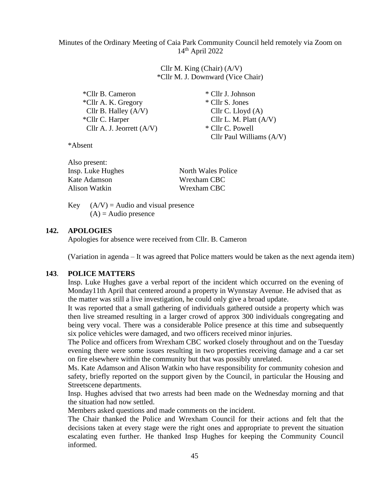Minutes of the Ordinary Meeting of Caia Park Community Council held remotely via Zoom on 14th April 2022

> Cllr M. King (Chair) (A/V) \*Cllr M. J. Downward (Vice Chair)

| *Cllr B. Cameron            | * Cllr J. Johnson          |
|-----------------------------|----------------------------|
| *Cllr A. K. Gregory         | * Cllr S. Jones            |
| Cllr B. Halley $(A/V)$      | Cllr C. Lloyd $(A)$        |
| *Cllr C. Harper             | Cllr L. M. Platt $(A/V)$   |
| Cllr A. J. Jeorrett $(A/V)$ | * Cllr C. Powell           |
|                             | Cllr Paul Williams $(A/V)$ |

\*Absent

Also present:

| тизо ргезени.     |                           |
|-------------------|---------------------------|
| Insp. Luke Hughes | <b>North Wales Police</b> |
| Kate Adamson      | Wrexham CBC               |
| Alison Watkin     | Wrexham CBC               |
|                   |                           |

Key  $(A/V) =$  Audio and visual presence  $(A)$  = Audio presence

#### **142. APOLOGIES**

Apologies for absence were received from Cllr. B. Cameron

(Variation in agenda – It was agreed that Police matters would be taken as the next agenda item)

#### **143**. **POLICE MATTERS**

Insp. Luke Hughes gave a verbal report of the incident which occurred on the evening of Monday11th April that centered around a property in Wynnstay Avenue. He advised that as the matter was still a live investigation, he could only give a broad update.

It was reported that a small gathering of individuals gathered outside a property which was then live streamed resulting in a larger crowd of approx 300 individuals congregating and being very vocal. There was a considerable Police presence at this time and subsequently six police vehicles were damaged, and two officers received minor injuries.

The Police and officers from Wrexham CBC worked closely throughout and on the Tuesday evening there were some issues resulting in two properties receiving damage and a car set on fire elsewhere within the community but that was possibly unrelated.

Ms. Kate Adamson and Alison Watkin who have responsibility for community cohesion and safety, briefly reported on the support given by the Council, in particular the Housing and Streetscene departments.

Insp. Hughes advised that two arrests had been made on the Wednesday morning and that the situation had now settled.

Members asked questions and made comments on the incident.

The Chair thanked the Police and Wrexham Council for their actions and felt that the decisions taken at every stage were the right ones and appropriate to prevent the situation escalating even further. He thanked Insp Hughes for keeping the Community Council informed.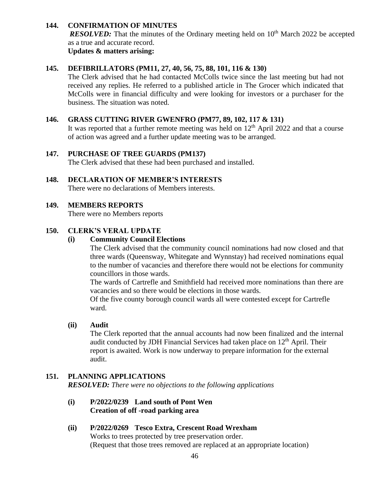# **144. CONFIRMATION OF MINUTES**

*RESOLVED:* That the minutes of the Ordinary meeting held on 10<sup>th</sup> March 2022 be accepted as a true and accurate record.

**Updates & matters arising:**

# **145. DEFIBRILLATORS (PM11, 27, 40, 56, 75, 88, 101, 116 & 130)**

The Clerk advised that he had contacted McColls twice since the last meeting but had not received any replies. He referred to a published article in The Grocer which indicated that McColls were in financial difficulty and were looking for investors or a purchaser for the business. The situation was noted.

# **146. GRASS CUTTING RIVER GWENFRO (PM77, 89, 102, 117 & 131)**

It was reported that a further remote meeting was held on  $12<sup>th</sup>$  April 2022 and that a course of action was agreed and a further update meeting was to be arranged.

# **147. PURCHASE OF TREE GUARDS (PM137)**

The Clerk advised that these had been purchased and installed.

#### **148. DECLARATION OF MEMBER'S INTERESTS** There were no declarations of Members interests.

## **149. MEMBERS REPORTS**

There were no Members reports

## **150. CLERK'S VERAL UPDATE**

## **(i) Community Council Elections**

The Clerk advised that the community council nominations had now closed and that three wards (Queensway, Whitegate and Wynnstay) had received nominations equal to the number of vacancies and therefore there would not be elections for community councillors in those wards.

The wards of Cartrefle and Smithfield had received more nominations than there are vacancies and so there would be elections in those wards.

Of the five county borough council wards all were contested except for Cartrefle ward.

# **(ii) Audit**

The Clerk reported that the annual accounts had now been finalized and the internal audit conducted by JDH Financial Services had taken place on  $12<sup>th</sup>$  April. Their report is awaited. Work is now underway to prepare information for the external audit.

## **151. PLANNING APPLICATIONS** *RESOLVED: There were no objections to the following applications*

# **(i) P/2022/0239 Land south of Pont Wen Creation of off -road parking area**

**(ii) P/2022/0269 Tesco Extra, Crescent Road Wrexham** Works to trees protected by tree preservation order. (Request that those trees removed are replaced at an appropriate location)